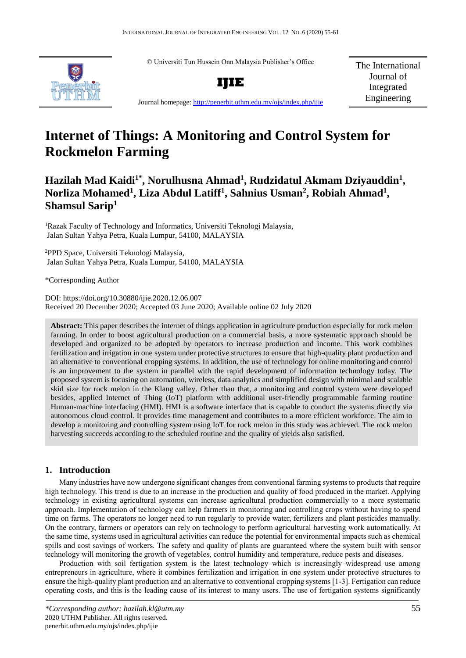© Universiti Tun Hussein Onn Malaysia Publisher's Office



**IJIE**

The International Journal of Integrated Engineering

Journal homepage:<http://penerbit.uthm.edu.my/ojs/index.php/ijie>

# **Internet of Things: A Monitoring and Control System for Rockmelon Farming**

**Hazilah Mad Kaidi1\* , Norulhusna Ahmad<sup>1</sup> , Rudzidatul Akmam Dziyauddin<sup>1</sup> , Norliza Mohamed<sup>1</sup> , Liza Abdul Latiff<sup>1</sup> , Sahnius Usman<sup>2</sup> , Robiah Ahmad<sup>1</sup> , Shamsul Sarip<sup>1</sup>**

<sup>1</sup>Razak Faculty of Technology and Informatics, Universiti Teknologi Malaysia, Jalan Sultan Yahya Petra, Kuala Lumpur, 54100, MALAYSIA

<sup>2</sup>PPD Space, Universiti Teknologi Malaysia, Jalan Sultan Yahya Petra, Kuala Lumpur, 54100, MALAYSIA

\*Corresponding Author

DOI: https://doi.org/10.30880/ijie.2020.12.06.007 Received 20 December 2020; Accepted 03 June 2020; Available online 02 July 2020

**Abstract:** This paper describes the internet of things application in agriculture production especially for rock melon farming. In order to boost agricultural production on a commercial basis, a more systematic approach should be developed and organized to be adopted by operators to increase production and income. This work combines fertilization and irrigation in one system under protective structures to ensure that high-quality plant production and an alternative to conventional cropping systems. In addition, the use of technology for online monitoring and control is an improvement to the system in parallel with the rapid development of information technology today. The proposed system is focusing on automation, wireless, data analytics and simplified design with minimal and scalable skid size for rock melon in the Klang valley. Other than that, a monitoring and control system were developed besides, applied Internet of Thing (IoT) platform with additional user-friendly programmable farming routine Human-machine interfacing (HMI). HMI is a software interface that is capable to conduct the systems directly via autonomous cloud control. It provides time management and contributes to a more efficient workforce. The aim to develop a monitoring and controlling system using IoT for rock melon in this study was achieved. The rock melon harvesting succeeds according to the scheduled routine and the quality of yields also satisfied.

# **1. Introduction**

Many industries have now undergone significant changes from conventional farming systems to products that require high technology. This trend is due to an increase in the production and quality of food produced in the market. Applying technology in existing agricultural systems can increase agricultural production commercially to a more systematic approach. Implementation of technology can help farmers in monitoring and controlling crops without having to spend time on farms. The operators no longer need to run regularly to provide water, fertilizers and plant pesticides manually. On the contrary, farmers or operators can rely on technology to perform agricultural harvesting work automatically. At the same time, systems used in agricultural activities can reduce the potential for environmental impacts such as chemical spills and cost savings of workers. The safety and quality of plants are guaranteed where the system built with sensor technology will monitoring the growth of vegetables, control humidity and temperature, reduce pests and diseases.

Production with soil fertigation system is the latest technology which is increasingly widespread use among entrepreneurs in agriculture, where it combines fertilization and irrigation in one system under protective structures to ensure the high-quality plant production and an alternative to conventional cropping systems [1-3]. Fertigation can reduce operating costs, and this is the leading cause of its interest to many users. The use of fertigation systems significantly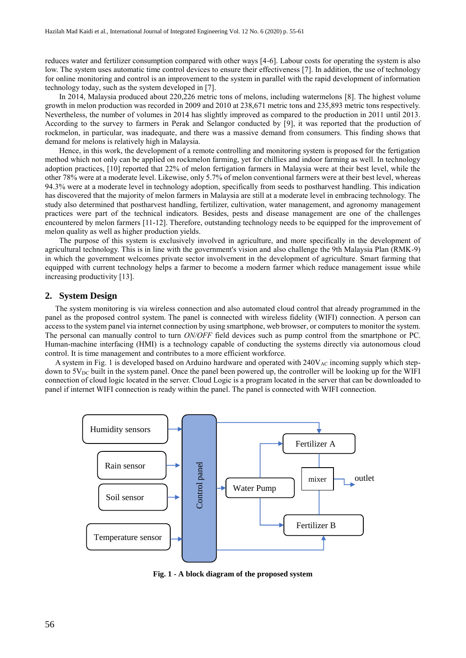reduces water and fertilizer consumption compared with other ways [4-6]. Labour costs for operating the system is also low. The system uses automatic time control devices to ensure their effectiveness [7]. In addition, the use of technology for online monitoring and control is an improvement to the system in parallel with the rapid development of information technology today, such as the system developed in [7].

In 2014, Malaysia produced about 220,226 metric tons of melons, including watermelons [8]. The highest volume growth in melon production was recorded in 2009 and 2010 at 238,671 metric tons and 235,893 metric tons respectively. Nevertheless, the number of volumes in 2014 has slightly improved as compared to the production in 2011 until 2013. According to the survey to farmers in Perak and Selangor conducted by [9], it was reported that the production of rockmelon, in particular, was inadequate, and there was a massive demand from consumers. This finding shows that demand for melons is relatively high in Malaysia.

Hence, in this work, the development of a remote controlling and monitoring system is proposed for the fertigation method which not only can be applied on rockmelon farming, yet for chillies and indoor farming as well. In technology adoption practices, [10] reported that 22% of melon fertigation farmers in Malaysia were at their best level, while the other 78% were at a moderate level. Likewise, only 5.7% of melon conventional farmers were at their best level, whereas 94.3% were at a moderate level in technology adoption, specifically from seeds to postharvest handling. This indication has discovered that the majority of melon farmers in Malaysia are still at a moderate level in embracing technology. The study also determined that postharvest handling, fertilizer, cultivation, water management, and agronomy management practices were part of the technical indicators. Besides, pests and disease management are one of the challenges encountered by melon farmers [11-12]. Therefore, outstanding technology needs to be equipped for the improvement of melon quality as well as higher production yields.

The purpose of this system is exclusively involved in agriculture, and more specifically in the development of agricultural technology. This is in line with the government's vision and also challenge the 9th Malaysia Plan (RMK-9) in which the government welcomes private sector involvement in the development of agriculture. Smart farming that equipped with current technology helps a farmer to become a modern farmer which reduce management issue while increasing productivity [13].

#### **2. System Design**

The system monitoring is via wireless connection and also automated cloud control that already programmed in the panel as the proposed control system. The panel is connected with wireless fidelity (WIFI) connection. A person can access to the system panel via internet connection by using smartphone, web browser, or computers to monitor the system. The personal can manually control to turn *ON/OFF* field devices such as pump control from the smartphone or PC. Human-machine interfacing (HMI) is a technology capable of conducting the systems directly via autonomous cloud control. It is time management and contributes to a more efficient workforce.

A system in Fig. 1 is developed based on Arduino hardware and operated with  $240V_{AC}$  incoming supply which stepdown to  $5V_{DC}$  built in the system panel. Once the panel been powered up, the controller will be looking up for the WIFI connection of cloud logic located in the server. Cloud Logic is a program located in the server that can be downloaded to panel if internet WIFI connection is ready within the panel. The panel is connected with WIFI connection.



**Fig. 1 - A block diagram of the proposed system**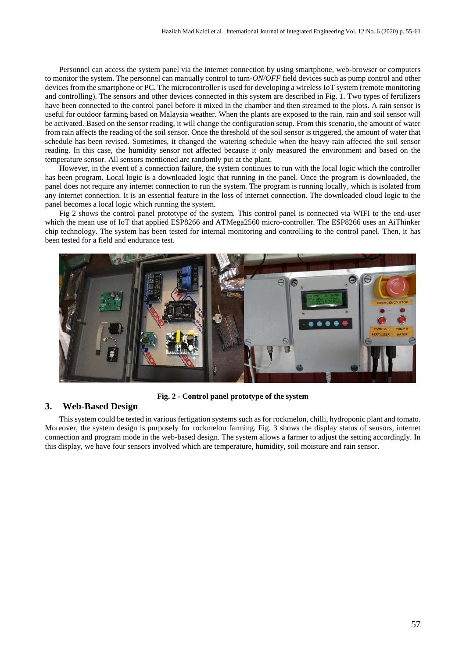Personnel can access the system panel via the internet connection by using smartphone, web-browser or computers to monitor the system. The personnel can manually control to turn-*ON/OFF* field devices such as pump control and other devices from the smartphone or PC. The microcontroller is used for developing a wireless IoT system (remote monitoring and controlling). The sensors and other devices connected in this system are described in Fig. 1. Two types of fertilizers have been connected to the control panel before it mixed in the chamber and then streamed to the plots. A rain sensor is useful for outdoor farming based on Malaysia weather. When the plants are exposed to the rain, rain and soil sensor will be activated. Based on the sensor reading, it will change the configuration setup. From this scenario, the amount of water from rain affects the reading of the soil sensor. Once the threshold of the soil sensor is triggered, the amount of water that schedule has been revised. Sometimes, it changed the watering schedule when the heavy rain affected the soil sensor reading. In this case, the humidity sensor not affected because it only measured the environment and based on the temperature sensor. All sensors mentioned are randomly put at the plant.

However, in the event of a connection failure, the system continues to run with the local logic which the controller has been program. Local logic is a downloaded logic that running in the panel. Once the program is downloaded, the panel does not require any internet connection to run the system. The program is running locally, which is isolated from any internet connection. It is an essential feature in the loss of internet connection. The downloaded cloud logic to the panel becomes a local logic which running the system.

Fig 2 shows the control panel prototype of the system. This control panel is connected via WIFI to the end-user which the mean use of IoT that applied ESP8266 and ATMega2560 micro-controller. The ESP8266 uses an AiThinker chip technology. The system has been tested for internal monitoring and controlling to the control panel. Then, it has been tested for a field and endurance test.



**Fig. 2 - Control panel prototype of the system**

#### **3. Web-Based Design**

This system could be tested in various fertigation systems such as for rockmelon, chilli, hydroponic plant and tomato. Moreover, the system design is purposely for rockmelon farming. Fig. 3 shows the display status of sensors, internet connection and program mode in the web-based design. The system allows a farmer to adjust the setting accordingly. In this display, we have four sensors involved which are temperature, humidity, soil moisture and rain sensor.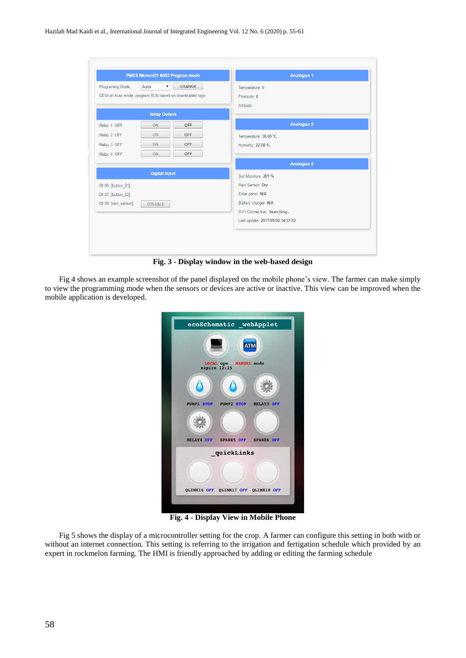|                      | PMCS WemosD1 0002 Program mode                           | Analogue 1                       |  |  |  |
|----------------------|----------------------------------------------------------|----------------------------------|--|--|--|
| Programing Mode:     | <b>CHANGE</b><br>Auto<br>$\pmb{\mathrm{v}}$              | Temperature: 0                   |  |  |  |
|                      | CEM on Auto mode, program RUN based on downloaded logic. | Pressure: 0                      |  |  |  |
|                      |                                                          | Altitude:                        |  |  |  |
|                      | <b>Relay Output</b>                                      |                                  |  |  |  |
| Relay 1: OFF         | <b>OFF</b><br>ON                                         | <b>Analogue 2</b>                |  |  |  |
| Relay 2: OFF         | ON<br><b>OFF</b>                                         | Temperature: 38.00 *C            |  |  |  |
| Relay 3: OFF         | ON<br><b>OFF</b>                                         | Humidity: 22.00 %                |  |  |  |
| Relay 4: OFF         | <b>OFF</b><br>ON                                         |                                  |  |  |  |
|                      |                                                          | Analogue 3                       |  |  |  |
|                      | <b>Digital Input</b>                                     | Soil Moisture: 201 %             |  |  |  |
| DI 06: [button_01]   |                                                          | Rain Sensor: Dry                 |  |  |  |
| DI 07: [button 02]   |                                                          | Solar panel: N/A                 |  |  |  |
| DI 08: [rain sensor] | <b>DISABLE</b>                                           | Battery charger: N/A             |  |  |  |
|                      |                                                          | WiFi Connection: Searching       |  |  |  |
|                      |                                                          | Last update: 2017/05/02 14:37:12 |  |  |  |

**Fig. 3 - Display window in the web-based design**

Fig 4 shows an example screenshot of the panel displayed on the mobile phone's view. The farmer can make simply to view the programming mode when the sensors or devices are active or inactive. This view can be improved when the mobile application is developed.

| ecoSchematic _webApplet                 |  |
|-----------------------------------------|--|
|                                         |  |
| LOCAL ops MANUAL mode<br>expire $12:15$ |  |
|                                         |  |
| PUMP1 STOP PUMP2 STOP RELAY3 OFF        |  |
|                                         |  |
| RELAY4 OFF SPARE5 OFF SPARE6 OFF        |  |
| quickLinks                              |  |
|                                         |  |
| QLINK16 OFF QLINK17 OFF QLINK18 OFF     |  |

**Fig. 4 - Display View in Mobile Phone** 

Fig 5 shows the display of a microcontroller setting for the crop. A farmer can configure this setting in both with or without an internet connection. This setting is referring to the irrigation and fertigation schedule which provided by an expert in rockmelon farming. The HMI is friendly approached by adding or editing the farming schedule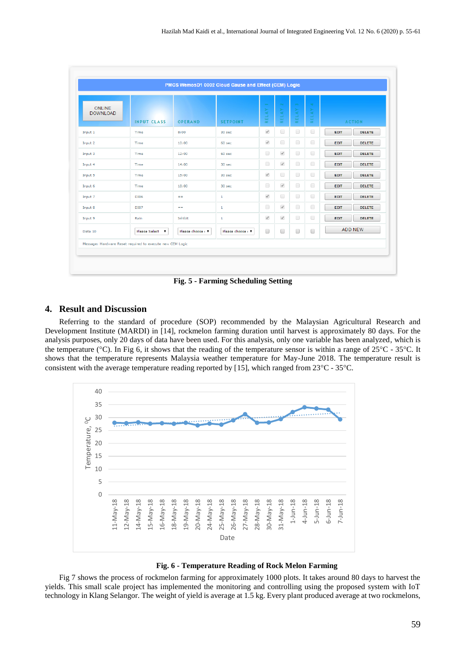| <b>ONLINE</b><br><b>DOWNLOAD</b> | <b>INPUT CLASS</b> | <b>OPERAND</b>    | <b>SETPOINT</b>   | $\overline{\phantom{m}}$<br>RELAY | $\sim$<br>$\succ$<br><b>RELA</b>        | $\infty$<br><b>AVT</b><br>RE. | $\Delta \Delta \phi$<br>RELAY | <b>ACTION</b>                |
|----------------------------------|--------------------|-------------------|-------------------|-----------------------------------|-----------------------------------------|-------------------------------|-------------------------------|------------------------------|
| Input 1                          | Time               | 8:00              | 30 sec            | $\mathcal{A}$                     | $\begin{array}{ccc} \hline \end{array}$ | $\Box$                        | $\Box$                        | <b>DELETE</b><br><b>EDIT</b> |
| Input 2                          | <b>Time</b>        | 10:00             | $60$ sec          | $\mathcal{A}$                     | $\Box$                                  | $\Box$                        | $\Box$                        | <b>EDIT</b><br><b>DELETE</b> |
| Input 3                          | Time               | 12:00             | 60 sec            | $\Box$                            | $\mathcal{A}$                           | $\Box$                        | $\Box$                        | <b>EDIT</b><br><b>DELETE</b> |
| Input 4                          | Time               | 14:00             | 30 sec            | $\Box$                            | $\mathcal{Q}$                           | $\Box$                        | $\Box$                        | <b>EDIT</b><br><b>DELETE</b> |
| Input 5                          | Time               | 15:00             | 30 <sub>sec</sub> | $\mathcal{A}$                     | $\begin{array}{ccc} \hline \end{array}$ | $\Box$                        | 0                             | <b>EDIT</b><br><b>DELETE</b> |
| Input 6                          | Time               | 18:00             | 30 <sub>sec</sub> | $\Box$                            | $\mathcal{A}$                           | $\Box$                        | $\Box$                        | <b>EDIT</b><br><b>DELETE</b> |
| Input 7                          | <b>DI06</b>        | $=$               | 1                 | $\mathcal{A}$                     | $\Box$                                  | $\Box$                        | $\Box$                        | <b>EDIT</b><br><b>DELETE</b> |
| Input 8                          | <b>DI07</b>        | $=$               | $\mathbf{1}$      | $\Box$                            | $\mathcal{A}$                           | $\Box$                        | $\Box$                        | <b>EDIT</b><br><b>DELETE</b> |
| Input 9                          | Rain               | Inhibit           | 1                 | $\mathcal{A}$                     | $\mathcal{A}$                           | $\Box$                        | $\Box$                        | <b>DELETE</b><br><b>EDIT</b> |
| Data 10                          | Please Select V    | Please choose ( V | Please choose ( T | □                                 | 0                                       | 0                             | $\Box$                        | <b>ADD NEW</b>               |

**Fig. 5 - Farming Scheduling Setting**

#### **4. Result and Discussion**

Referring to the standard of procedure (SOP) recommended by the Malaysian Agricultural Research and Development Institute (MARDI) in [14], rockmelon farming duration until harvest is approximately 80 days. For the analysis purposes, only 20 days of data have been used. For this analysis, only one variable has been analyzed, which is the temperature ( $^{\circ}$ C). In Fig 6, it shows that the reading of the temperature sensor is within a range of  $25^{\circ}$ C - 35<sup>o</sup>C. It shows that the temperature represents Malaysia weather temperature for May-June 2018. The temperature result is consistent with the average temperature reading reported by [15], which ranged from  $23^{\circ}$ C -  $35^{\circ}$ C.



**Fig. 6 - Temperature Reading of Rock Melon Farming**

Fig 7 shows the process of rockmelon farming for approximately 1000 plots. It takes around 80 days to harvest the yields. This small scale project has implemented the monitoring and controlling using the proposed system with IoT technology in Klang Selangor. The weight of yield is average at 1.5 kg. Every plant produced average at two rockmelons,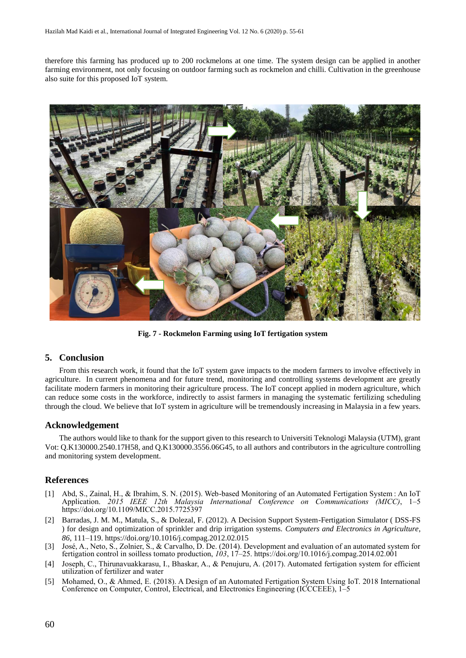therefore this farming has produced up to 200 rockmelons at one time. The system design can be applied in another farming environment, not only focusing on outdoor farming such as rockmelon and chilli. Cultivation in the greenhouse also suite for this proposed IoT system.



**Fig. 7 - Rockmelon Farming using IoT fertigation system**

#### **5. Conclusion**

From this research work, it found that the IoT system gave impacts to the modern farmers to involve effectively in agriculture. In current phenomena and for future trend, monitoring and controlling systems development are greatly facilitate modern farmers in monitoring their agriculture process. The IoT concept applied in modern agriculture, which can reduce some costs in the workforce, indirectly to assist farmers in managing the systematic fertilizing scheduling through the cloud. We believe that IoT system in agriculture will be tremendously increasing in Malaysia in a few years.

## **Acknowledgement**

The authors would like to thank for the support given to this research to Universiti Teknologi Malaysia (UTM), grant Vot: Q.K130000.2540.17H58, and Q.K130000.3556.06G45, to all authors and contributors in the agriculture controlling and monitoring system development.

## **References**

- [1] Abd, S., Zainal, H., & Ibrahim, S. N. (2015). Web-based Monitoring of an Automated Fertigation System : An IoT Application. *2015 IEEE 12th Malaysia International Conference on Communications (MICC)*, 1–5 https://doi.org/10.1109/MICC.2015.7725397
- [2] Barradas, J. M. M., Matula, S., & Dolezal, F. (2012). A Decision Support System-Fertigation Simulator ( DSS-FS ) for design and optimization of sprinkler and drip irrigation systems. *Computers and Electronics in Agriculture*, *86*, 111–119. https://doi.org/10.1016/j.compag.2012.02.015
- [3] José, A., Neto, S., Zolnier, S., & Carvalho, D. De. (2014). Development and evaluation of an automated system for fertigation control in soilless tomato production, *103*, 17–25. https://doi.org/10.1016/j.compag.2014.02.001
- [4] Joseph, C., Thirunavuakkarasu, I., Bhaskar, A., & Penujuru, A. (2017). Automated fertigation system for efficient utilization of fertilizer and water
- [5] Mohamed, O., & Ahmed, E. (2018). A Design of an Automated Fertigation System Using IoT. 2018 International Conference on Computer, Control, Electrical, and Electronics Engineering (ICCCEEE), 1–5